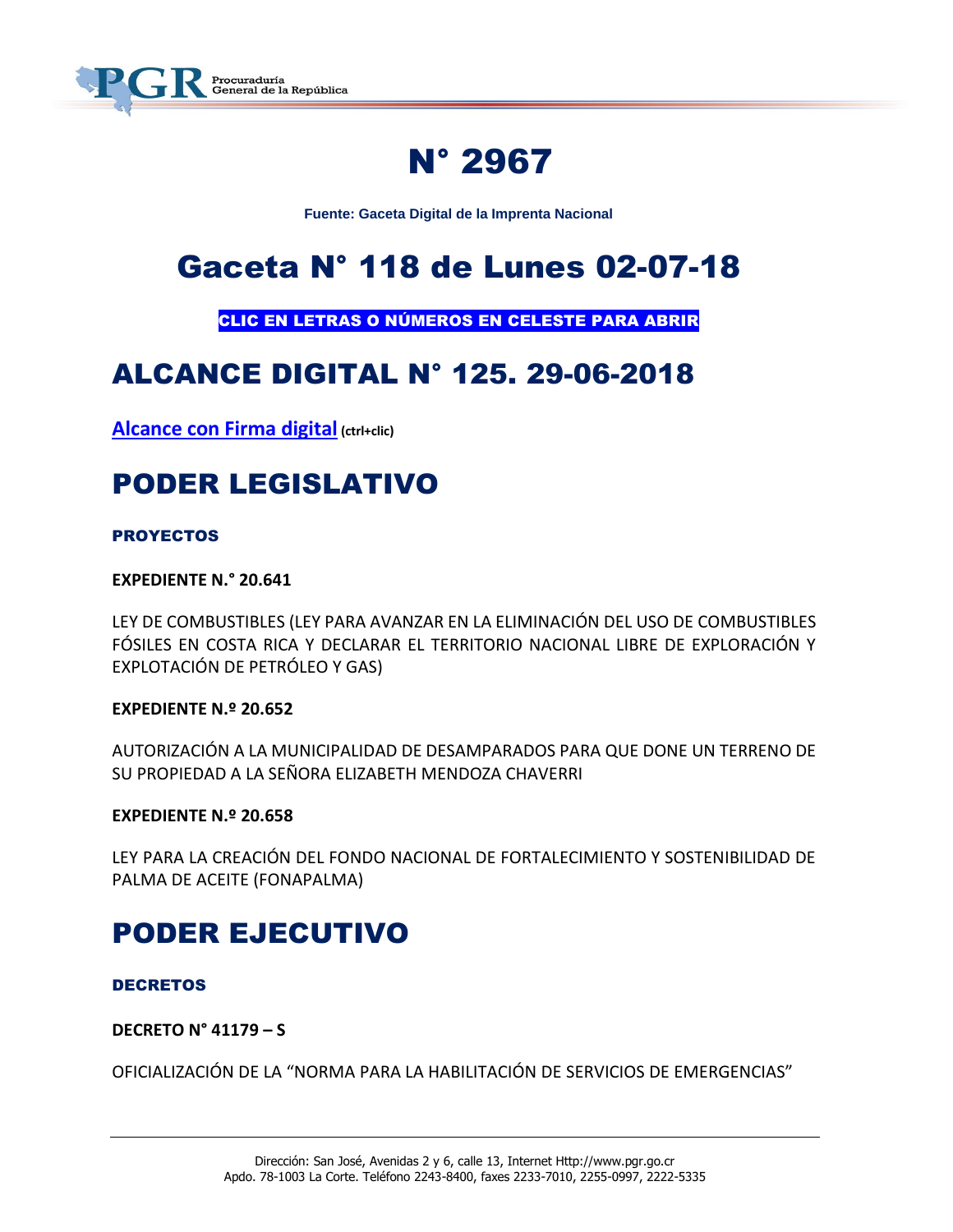

# N° 2967

**Fuente: Gaceta Digital de la Imprenta Nacional**

# Gaceta N° 118 de Lunes 02-07-18

CLIC EN LETRAS O NÚMEROS EN CELESTE PARA ABRIR

## ALCANCE DIGITAL N° 125. 29-06-2018

**[Alcance con Firma digital](https://www.imprentanacional.go.cr/pub/2018/06/29/ALCA125_29_06_2018.pdf) (ctrl+clic)**

# PODER LEGISLATIVO

### PROYECTOS

**EXPEDIENTE N.° 20.641**

LEY DE COMBUSTIBLES (LEY PARA AVANZAR EN LA ELIMINACIÓN DEL USO DE COMBUSTIBLES FÓSILES EN COSTA RICA Y DECLARAR EL TERRITORIO NACIONAL LIBRE DE EXPLORACIÓN Y EXPLOTACIÓN DE PETRÓLEO Y GAS)

### **EXPEDIENTE N.º 20.652**

AUTORIZACIÓN A LA MUNICIPALIDAD DE DESAMPARADOS PARA QUE DONE UN TERRENO DE SU PROPIEDAD A LA SEÑORA ELIZABETH MENDOZA CHAVERRI

### **EXPEDIENTE N.º 20.658**

LEY PARA LA CREACIÓN DEL FONDO NACIONAL DE FORTALECIMIENTO Y SOSTENIBILIDAD DE PALMA DE ACEITE (FONAPALMA)

## PODER EJECUTIVO

### DECRETOS

### **DECRETO N° 41179 – S**

OFICIALIZACIÓN DE LA "NORMA PARA LA HABILITACIÓN DE SERVICIOS DE EMERGENCIAS"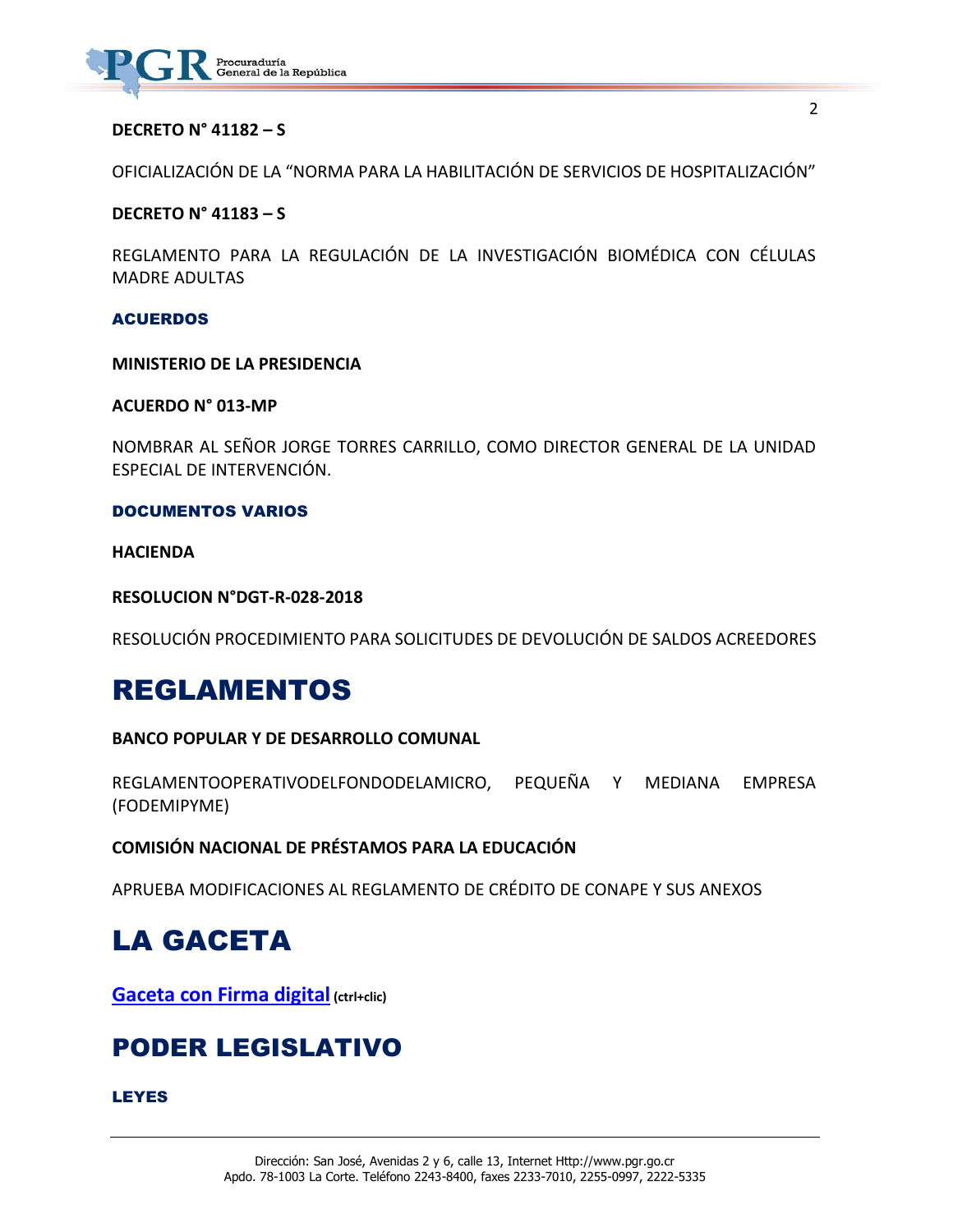

### **DECRETO N° 41182 – S**

OFICIALIZACIÓN DE LA "NORMA PARA LA HABILITACIÓN DE SERVICIOS DE HOSPITALIZACIÓN"

### **DECRETO N° 41183 – S**

REGLAMENTO PARA LA REGULACIÓN DE LA INVESTIGACIÓN BIOMÉDICA CON CÉLULAS MADRE ADULTAS

#### ACUERDOS

#### **MINISTERIO DE LA PRESIDENCIA**

### **ACUERDO N° 013-MP**

NOMBRAR AL SEÑOR JORGE TORRES CARRILLO, COMO DIRECTOR GENERAL DE LA UNIDAD ESPECIAL DE INTERVENCIÓN.

### DOCUMENTOS VARIOS

**HACIENDA**

**RESOLUCION N°DGT-R-028-2018**

RESOLUCIÓN PROCEDIMIENTO PARA SOLICITUDES DE DEVOLUCIÓN DE SALDOS ACREEDORES

## REGLAMENTOS

### **BANCO POPULAR Y DE DESARROLLO COMUNAL**

REGLAMENTOOPERATIVODELFONDODELAMICRO, PEQUEÑA Y MEDIANA EMPRESA (FODEMIPYME)

### **COMISIÓN NACIONAL DE PRÉSTAMOS PARA LA EDUCACIÓN**

APRUEBA MODIFICACIONES AL REGLAMENTO DE CRÉDITO DE CONAPE Y SUS ANEXOS

## LA GACETA

**[Gaceta con Firma digital](https://www.imprentanacional.go.cr/pub/2018/07/02/COMP_02_07_2018.pdf) (ctrl+clic)**

## PODER LEGISLATIVO

#### LEYES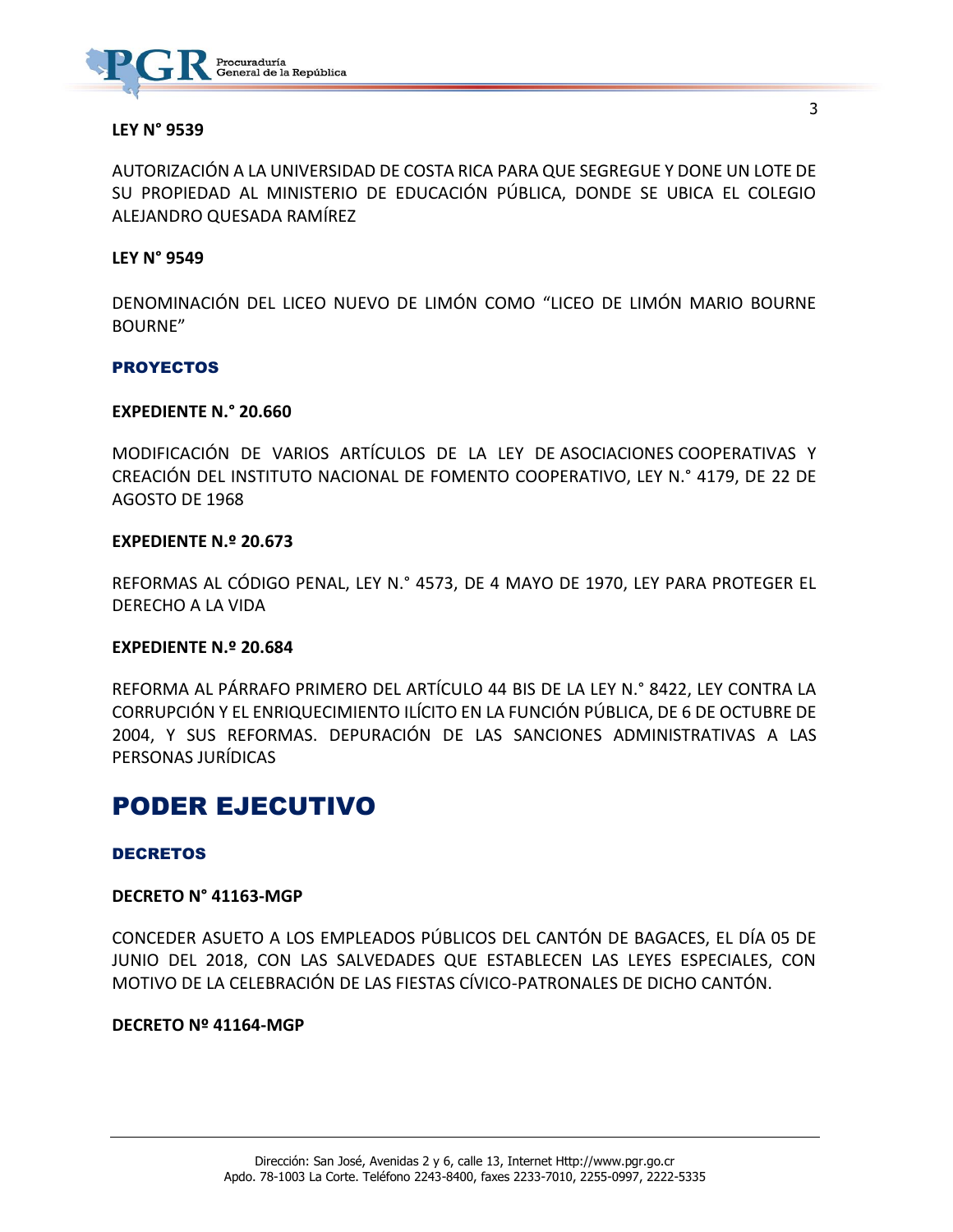

#### **LEY N° 9539**

AUTORIZACIÓN A LA UNIVERSIDAD DE COSTA RICA PARA QUE SEGREGUE Y DONE UN LOTE DE SU PROPIEDAD AL MINISTERIO DE EDUCACIÓN PÚBLICA, DONDE SE UBICA EL COLEGIO ALEJANDRO QUESADA RAMÍREZ

#### **LEY N° 9549**

DENOMINACIÓN DEL LICEO NUEVO DE LIMÓN COMO "LICEO DE LIMÓN MARIO BOURNE BOURNE"

#### **PROYECTOS**

#### **EXPEDIENTE N.° 20.660**

MODIFICACIÓN DE VARIOS ARTÍCULOS DE LA LEY DE ASOCIACIONES COOPERATIVAS Y CREACIÓN DEL INSTITUTO NACIONAL DE FOMENTO COOPERATIVO, LEY N.° 4179, DE 22 DE AGOSTO DE 1968

#### **EXPEDIENTE N.º 20.673**

REFORMAS AL CÓDIGO PENAL, LEY N.° 4573, DE 4 MAYO DE 1970, LEY PARA PROTEGER EL DERECHO A LA VIDA

#### **EXPEDIENTE N.º 20.684**

REFORMA AL PÁRRAFO PRIMERO DEL ARTÍCULO 44 BIS DE LA LEY N.° 8422, LEY CONTRA LA CORRUPCIÓN Y EL ENRIQUECIMIENTO ILÍCITO EN LA FUNCIÓN PÚBLICA, DE 6 DE OCTUBRE DE 2004, Y SUS REFORMAS. DEPURACIÓN DE LAS SANCIONES ADMINISTRATIVAS A LAS PERSONAS JURÍDICAS

## PODER EJECUTIVO

#### DECRETOS

#### **DECRETO N° 41163-MGP**

CONCEDER ASUETO A LOS EMPLEADOS PÚBLICOS DEL CANTÓN DE BAGACES, EL DÍA 05 DE JUNIO DEL 2018, CON LAS SALVEDADES QUE ESTABLECEN LAS LEYES ESPECIALES, CON MOTIVO DE LA CELEBRACIÓN DE LAS FIESTAS CÍVICO-PATRONALES DE DICHO CANTÓN.

#### **DECRETO Nº 41164-MGP**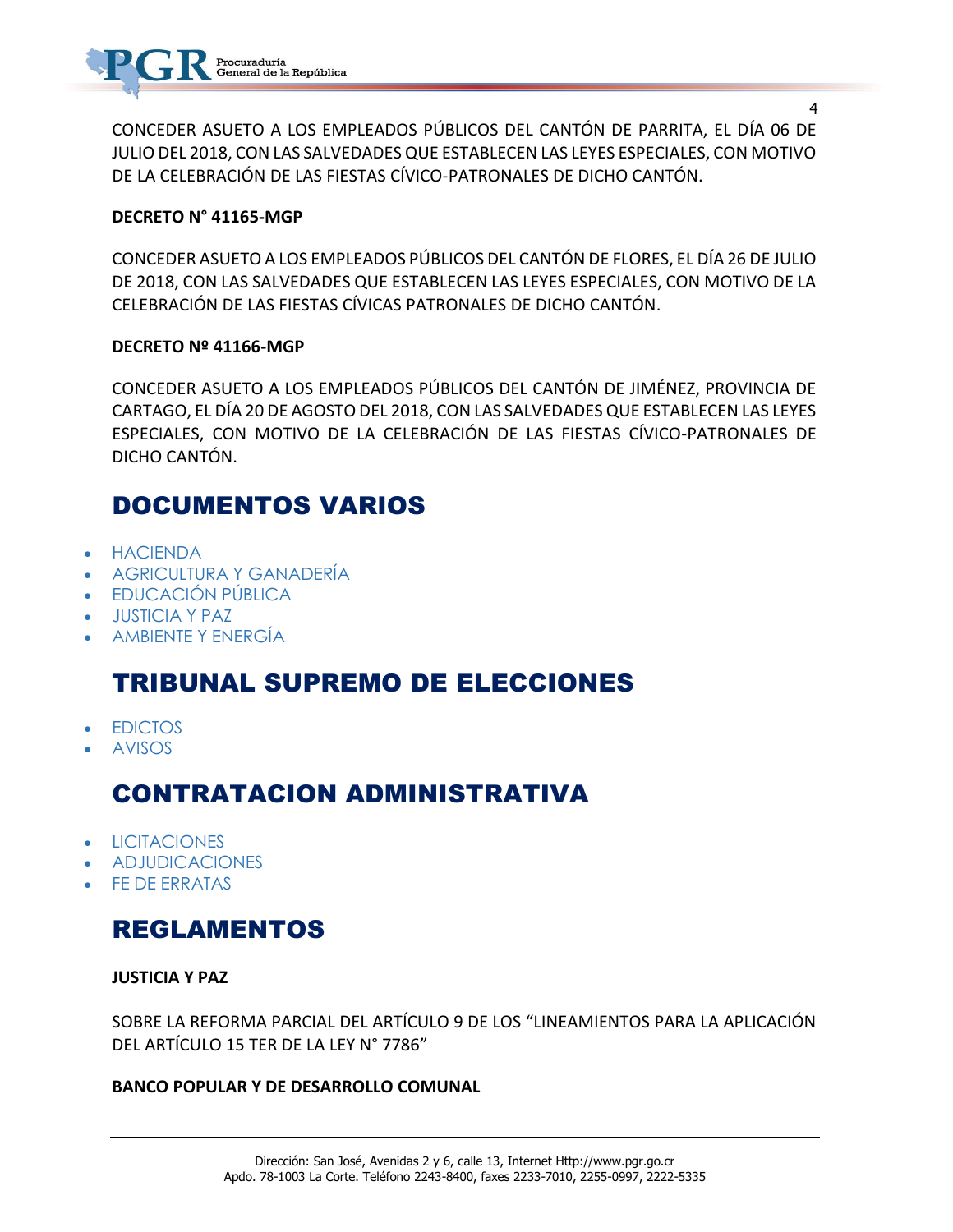CONCEDER ASUETO A LOS EMPLEADOS PÚBLICOS DEL CANTÓN DE PARRITA, EL DÍA 06 DE JULIO DEL 2018, CON LAS SALVEDADES QUE ESTABLECEN LAS LEYES ESPECIALES, CON MOTIVO DE LA CELEBRACIÓN DE LAS FIESTAS CÍVICO-PATRONALES DE DICHO CANTÓN.

### **DECRETO N° 41165-MGP**

CONCEDER ASUETO A LOS EMPLEADOS PÚBLICOS DEL CANTÓN DE FLORES, EL DÍA 26 DE JULIO DE 2018, CON LAS SALVEDADES QUE ESTABLECEN LAS LEYES ESPECIALES, CON MOTIVO DE LA CELEBRACIÓN DE LAS FIESTAS CÍVICAS PATRONALES DE DICHO CANTÓN.

### **DECRETO Nº 41166-MGP**

CONCEDER ASUETO A LOS EMPLEADOS PÚBLICOS DEL CANTÓN DE JIMÉNEZ, PROVINCIA DE CARTAGO, EL DÍA 20 DE AGOSTO DEL 2018, CON LAS SALVEDADES QUE ESTABLECEN LAS LEYES ESPECIALES, CON MOTIVO DE LA CELEBRACIÓN DE LAS FIESTAS CÍVICO-PATRONALES DE DICHO CANTÓN.

## DOCUMENTOS VARIOS

- [HACIENDA](https://www.imprentanacional.go.cr/gaceta/#hacienda)
- [AGRICULTURA Y GANADERÍA](https://www.imprentanacional.go.cr/gaceta/#agricultura-y-ganadera)
- [EDUCACIÓN PÚBLICA](https://www.imprentanacional.go.cr/gaceta/#educacin-pblica)
- [JUSTICIA Y PAZ](https://www.imprentanacional.go.cr/gaceta/#justicia-y-paz)
- [AMBIENTE Y ENERGÍA](https://www.imprentanacional.go.cr/gaceta/#ambiente-y-energa)

## TRIBUNAL SUPREMO DE ELECCIONES

- [EDICTOS](https://www.imprentanacional.go.cr/gaceta/#edictos)
- [AVISOS](https://www.imprentanacional.go.cr/gaceta/#avisos)

## CONTRATACION ADMINISTRATIVA

- **[LICITACIONES](https://www.imprentanacional.go.cr/gaceta/#licitaciones)**
- [ADJUDICACIONES](https://www.imprentanacional.go.cr/gaceta/#adjudicaciones)
- [FE DE ERRATAS](https://www.imprentanacional.go.cr/gaceta/#fe-de-erratas)

## REGLAMENTOS

**JUSTICIA Y PAZ**

SOBRE LA REFORMA PARCIAL DEL ARTÍCULO 9 DE LOS "LINEAMIENTOS PARA LA APLICACIÓN DEL ARTÍCULO 15 TER DE LA LEY N° 7786"

## **BANCO POPULAR Y DE DESARROLLO COMUNAL**

4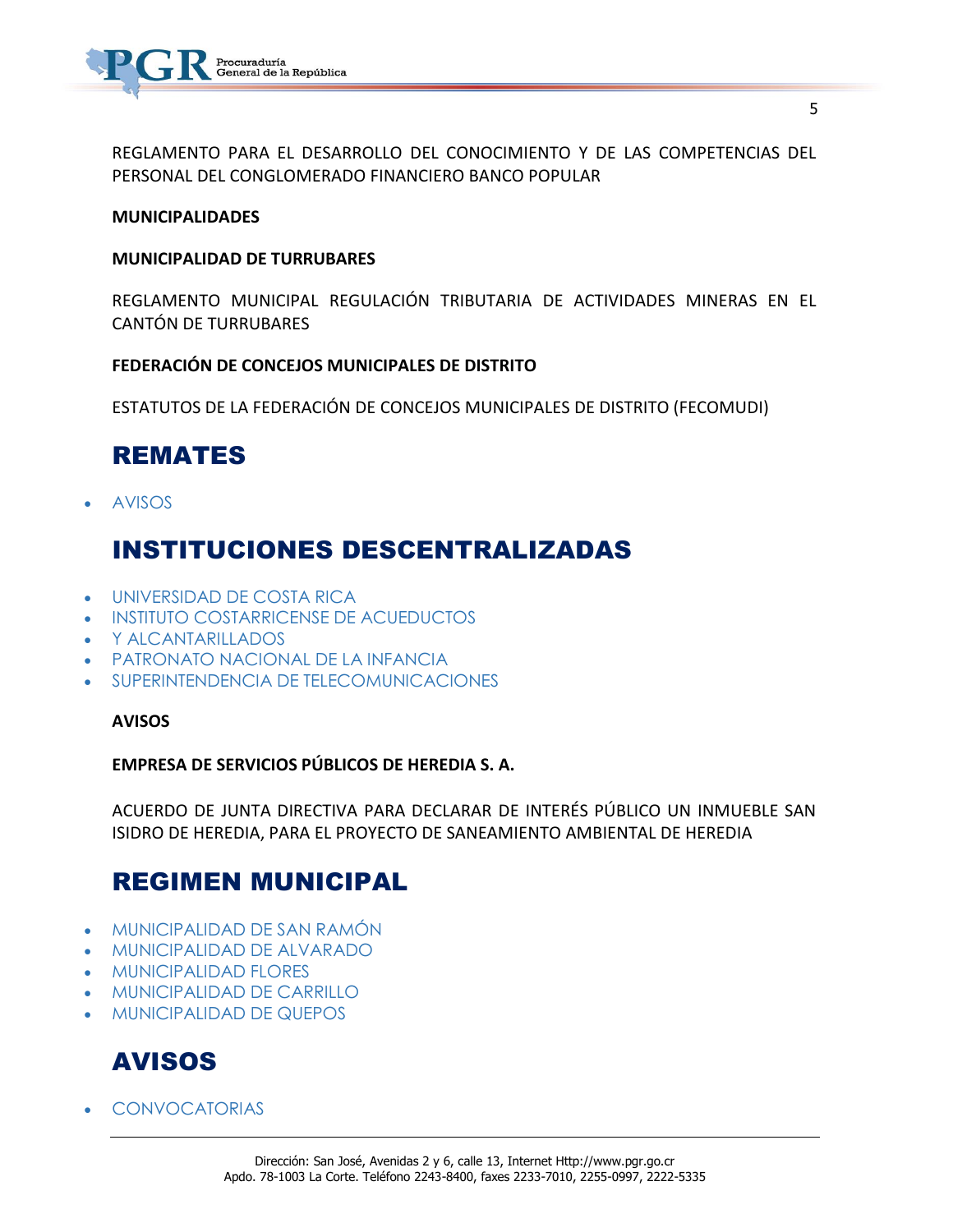

REGLAMENTO PARA EL DESARROLLO DEL CONOCIMIENTO Y DE LAS COMPETENCIAS DEL PERSONAL DEL CONGLOMERADO FINANCIERO BANCO POPULAR

#### **MUNICIPALIDADES**

### **MUNICIPALIDAD DE TURRUBARES**

REGLAMENTO MUNICIPAL REGULACIÓN TRIBUTARIA DE ACTIVIDADES MINERAS EN EL CANTÓN DE TURRUBARES

**FEDERACIÓN DE CONCEJOS MUNICIPALES DE DISTRITO**

ESTATUTOS DE LA FEDERACIÓN DE CONCEJOS MUNICIPALES DE DISTRITO (FECOMUDI)

## REMATES

[AVISOS](https://www.imprentanacional.go.cr/gaceta/#avisos)

## INSTITUCIONES DESCENTRALIZADAS

- [UNIVERSIDAD DE COSTA RICA](https://www.imprentanacional.go.cr/gaceta/#universidad-de-costa-rica)
- [INSTITUTO COSTARRICENSE DE ACUEDUCTOS](https://www.imprentanacional.go.cr/gaceta/#instituto-costarricense-deacueductos)
- [Y ALCANTARILLADOS](https://www.imprentanacional.go.cr/gaceta/#y-alcantarillados)
- [PATRONATO NACIONAL DE LA INFANCIA](https://www.imprentanacional.go.cr/gaceta/#patronato-nacional-de-lainfancia)
- [SUPERINTENDENCIA DE TELECOMUNICACIONES](https://www.imprentanacional.go.cr/gaceta/#superintendencia-de-telecomunicaciones)

#### **[AVISOS](https://www.imprentanacional.go.cr/gaceta/#avisos)**

**EMPRESA DE SERVICIOS PÚBLICOS DE HEREDIA S. A.**

ACUERDO DE JUNTA DIRECTIVA PARA DECLARAR DE INTERÉS PÚBLICO UN INMUEBLE SAN ISIDRO DE HEREDIA, PARA EL PROYECTO DE SANEAMIENTO AMBIENTAL DE HEREDIA

## REGIMEN MUNICIPAL

- [MUNICIPALIDAD DE SAN RAMÓN](https://www.imprentanacional.go.cr/gaceta/#municipalidad-de-san-ramn)
- [MUNICIPALIDAD DE ALVARADO](https://www.imprentanacional.go.cr/gaceta/#municipalidad-de-alvarado)
- [MUNICIPALIDAD FLORES](https://www.imprentanacional.go.cr/gaceta/#municipalidad-flores)
- [MUNICIPALIDAD DE CARRILLO](https://www.imprentanacional.go.cr/gaceta/#municipalidad-de-carrillo)
- [MUNICIPALIDAD DE QUEPOS](https://www.imprentanacional.go.cr/gaceta/#municipalidad-de-quepos)

## AVISOS

[CONVOCATORIAS](https://www.imprentanacional.go.cr/gaceta/#convocatorias)